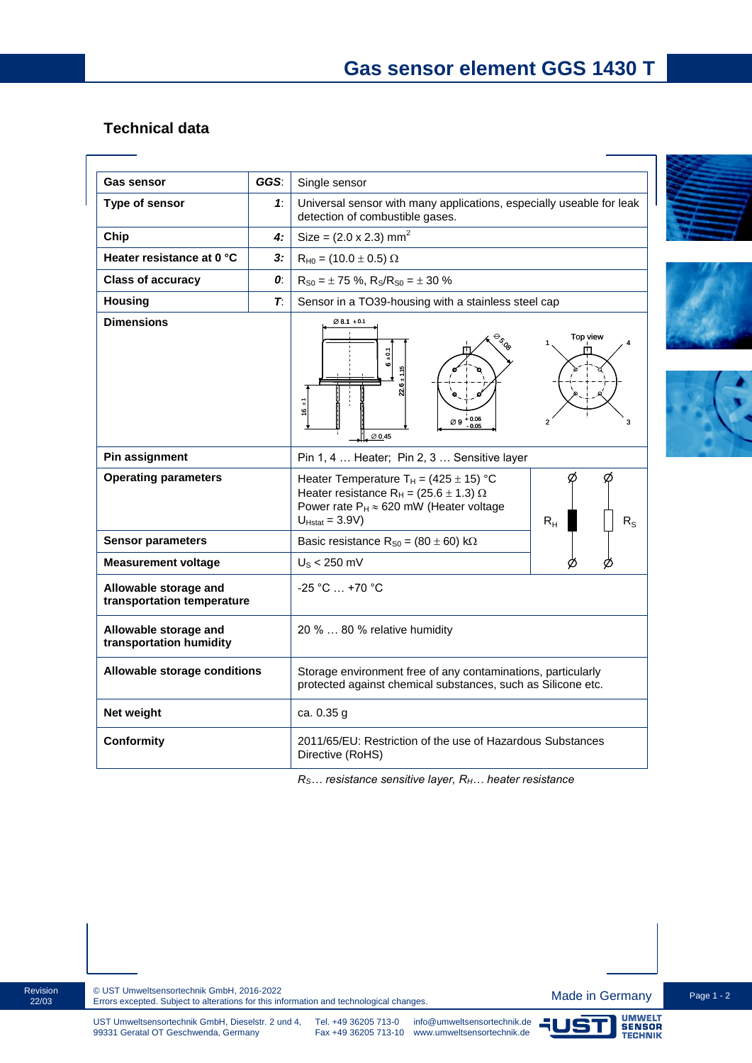## **Technical data**

| <b>Gas sensor</b>                                   | GGS: | Single sensor                                                                                                                                                                                                                 |
|-----------------------------------------------------|------|-------------------------------------------------------------------------------------------------------------------------------------------------------------------------------------------------------------------------------|
| Type of sensor                                      | 1:   | Universal sensor with many applications, especially useable for leak<br>detection of combustible gases.                                                                                                                       |
| Chip                                                | 4:   | Size = $(2.0 x 2.3)$ mm <sup>2</sup>                                                                                                                                                                                          |
| Heater resistance at 0 °C                           | 3:   | $R_{H0} = (10.0 \pm 0.5) \Omega$                                                                                                                                                                                              |
| <b>Class of accuracy</b>                            | 0.   | $R_{S0} = \pm 75$ %, $R_S/R_{S0} = \pm 30$ %                                                                                                                                                                                  |
| <b>Housing</b>                                      | T.   | Sensor in a TO39-housing with a stainless steel cap                                                                                                                                                                           |
| <b>Dimensions</b>                                   |      | $\varnothing$ 8.1 $\pm$ 0.1<br>Top view<br>$\frac{1}{2}$<br>Ğ.<br>ន<br>7<br>$\overline{6}$<br>$+0.06$<br>Ø9<br>$\varnothing$ 0.45                                                                                             |
| Pin assignment                                      |      | Pin 1, 4  Heater; Pin 2, 3  Sensitive layer                                                                                                                                                                                   |
| <b>Operating parameters</b>                         |      | Ø<br>Heater Temperature T <sub>H</sub> = $(425 \pm 15)$ °C<br>Heater resistance R <sub>H</sub> = (25.6 $\pm$ 1.3) $\Omega$<br>Power rate $P_H \approx 620$ mW (Heater voltage<br>$U_{Hstat} = 3.9V$<br>$R_{H}$<br>$R_{\rm S}$ |
| <b>Sensor parameters</b>                            |      | Basic resistance $R_{S0} = (80 \pm 60) \text{ k}\Omega$                                                                                                                                                                       |
| <b>Measurement voltage</b>                          |      | $US < 250$ mV                                                                                                                                                                                                                 |
| Allowable storage and<br>transportation temperature |      | -25 °C  +70 °C                                                                                                                                                                                                                |
| Allowable storage and<br>transportation humidity    |      | 20 %  80 % relative humidity                                                                                                                                                                                                  |
| Allowable storage conditions                        |      | Storage environment free of any contaminations, particularly<br>protected against chemical substances, such as Silicone etc.                                                                                                  |
| Net weight                                          |      | ca. 0.35 g                                                                                                                                                                                                                    |
| Conformity                                          |      | 2011/65/EU: Restriction of the use of Hazardous Substances<br>Directive (RoHS)                                                                                                                                                |

*RS… resistance sensitive layer, RH… heater resistance*







Revision 22/03